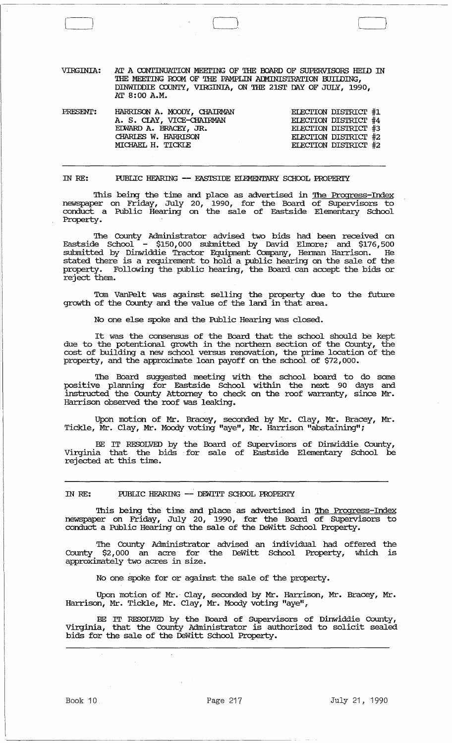| VIRGINIA: | AT A CONTINUATION MEETING OF THE BOARD OF SUPERVISORS HEID IN |
|-----------|---------------------------------------------------------------|
|           | THE MEETING ROOM OF THE PAMPLIN ADMINISTRATION BUILDING,      |
|           | DINWIDDIE COUNTY, VIRGINIA, ON THE 21ST DAY OF JULY, 1990,    |
|           | AT 8:00 A.M.                                                  |

| PRESENT: | HARRISON A. MOODY, CHAIRMAN | ELECTION DISTRICT #1 |  |
|----------|-----------------------------|----------------------|--|
|          | A. S. CIAY, VICE-CHAIRMAN   | ELECTION DISTRICT #4 |  |
|          | EDWARD A. BRACEY, JR.       | ELECTION DISTRICT #3 |  |
|          | CHARLES W. HARRISON         | ELECTION DISTRICT #2 |  |
|          | MICHAEL H. TICKLE           | ELECTION DISTRICT #2 |  |
|          |                             |                      |  |

IN RE: RJBLIC HEARING **--** EASTSIDE EIEMENTARY SCHOOL PROPERI'Y

This being the time and place as advertised in <u>The Progress-Index</u> newspaper on Friday, July 20, 1990, for the Board of SUpervisors to conduct a Public Hearing on the sale of Eastside Elementary School Property.

The County Administrator advised two bids had been received on Eastside School - \$150,000 submitted by David Elmore; and \$176,500 submitted by Dinwiddie Tractor Equipment Company, Herman Harrison. He stated there is a requirement to hold a public hearing on the sale of the property. Following the public hearing, the Board can accept the bids or reject them.

Tom VanPelt was against selling the property due to the future growth of the County and the value of the land in that area.

No one else spoke and the Public Hearing was closed.

It was the consensus of the Board that the school should be kept due to the potentional growth in the northern section of the County, the cost of building a new school versus renovation, the prime location of the property, and the approximate loan payoff on the school of \$72,000.

The Board suggested meeting with the school board to do some positive planning for Eastside School within the next 90 days and instructed the County Attorney to check on the roof warranty, since Mr. Harrison observed the roof was leaking.

Upon motion of Mr. Bracey, seconded by Mr. Clay, Mr. Bracey, Mr • Tickle, Mr. Clay, Mr. Moody voting "aye", Mr. Harrison "abstaining";

BE IT RESOLVED by the Board of SUpervisors of Dinwiddie County, Virginia that the bids . for sale of Eastside Elementary School be rejected at this time.

IN RE: PUBLIC HEARING -- DEWITT SCHOOL PROPERTY

This being the time and place as advertised in <u>The Progress-Index</u> newspaper on Friday, July 20, 1990, for the Board of Supervisors to conduct a Public Hearing on the sale of the DeWitt School Property.

The County Administrator advised an individual had offered the County \$2,000 an acre for the DeWitt School Property, which is approximately two acres in size.

No one Spoke for or against the sale of the property.

Upon motion of Mr.· Clay, seconded by Mr. Harrison, Mr. Bracey, Mr. Harrison, Mr. Tickle, Mr. Clay, Mr. Moody voting "aye",

BE IT RESOLVED by the Board of Supervisors of Dinwiddie County, Virginia, that the County Administrator is authorized to solicit sealed bids for the sale of the DeWitt School Property.

 $\sqrt{2}$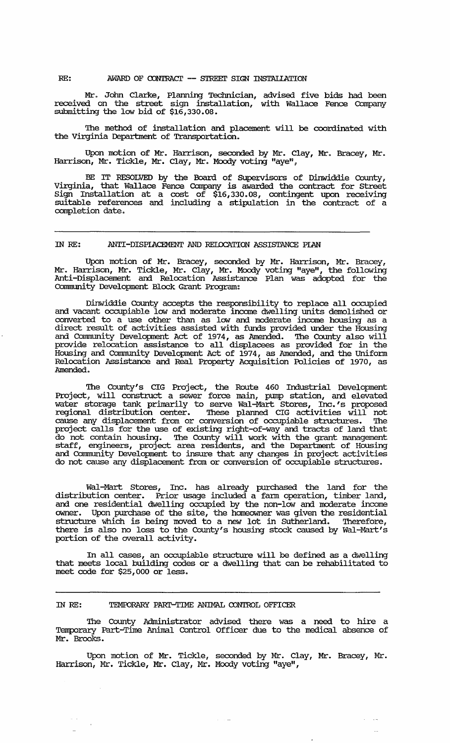RE: AWARD OF CONTRACT -- STREET SIGN INSTALLATION

Mr. John Clarke, Planning Technician, advised five bids had been received on the street sign installation, with Wallace Fence Company submitting the low bid of  $$16,330.08$ .

The method of installation and placement will be coordinated with the Virginia Department of Transportation.

Upon motion of Mr. Harrison, seconded by Mr. Clay, Mr. Bracey, Mr. Harrison, Mr. Tickle, Mr. Clay, Mr. Moody voting "aye",  $\,$ 

BE IT RESOLVED by the Board of Supervisors of Dinwiddie County, Virginia, that Wallace Fence Company is awarded the contract for Street Sign Installation at a cost of \$16,330.08, contingent upon receiving suitable references and including a stipulation in the contract of a completion date.

## IN RE: ANTI -DISPIACEMENT AND REIOCATION ASSISTANCE PIAN

Upon motion of Mr. Bracey, seconded by Mr. Harrison, Mr. Bracey, Mr. Harrison, Mr. Tickle, Mr. Clay, Mr. Moody voting "aye", the following Anti-Displacement and Relocation Assistance Plan was adopted for the Connnunity Development Block Grant Program:

Dinwiddie Cotmty accepts the responsibility to replace all occupied and vacant occupiable low and moderate income dwelling units demolished or converted to a use other than as low and moderate income housing as a direct result of activities assisted with funds provided under the Housing and Community Development Act of 1974, as Amended. The County also will provide relocation assistance to all displacees as provided for in the Housing and Community Development Act of  $1974$ , as Amended, and the Uniform Relocation Assistance and Real Property Acquisition Policies of 1970, as Amended.

The County's CIG Project, the Route 460 Industrial Development Project, will construct a sewer force main, pump station, and elevated water storage tank primarily to serve Wal-Mart Stores, Inc.'s proposed regional distribution center. These planned CIG activities will not cause any displacement from or conversion of occupiable structures. '!he project calls for the use of existing right-of-way and tracts of land that do not contain housing. The County will work with the grant management staff, engineers, project area residents, and the Department of Housing and Community Development to insure that any changes in project activities do not cause any displacement from or conversion of occupiable structures.

Wal-Mart Stores, Inc. has already purchased the land for the distribution center. Prior usage included a fann operation, timber land, and one residential dwelling occupied by the non-low and moderate income owner. Upon purchase of the site, the homeowner was given the residential structure which is being moved to a new lot in Sutherland. Therefore, there is also no loss to the Cotmty's housing stock caused by Wal-Mart *'s*  portion of the overall activity.

In all cases, an occupiable structure will be defined as a dwelling that meets local building codes or a dwelling that can be rehabilitated to meet code for \$25,000 or less.

IN RE: TEMPORARY PART-TIME ANIMAL CONTROL OFFICER

The County Administrator advised there was a need to hire a Temporary Part-Time Animal Control Officer due to the medical absence of Mr. Brooks.

Upon motion of Mr. Tickle, seconded by Mr. Clay, Mr. Bracey, Mr. Harrison, Mr. Tickle, Mr. Clay, Mr. Moody voting "aye",

ساب ال

 $\omega_{\rm{max}}$  and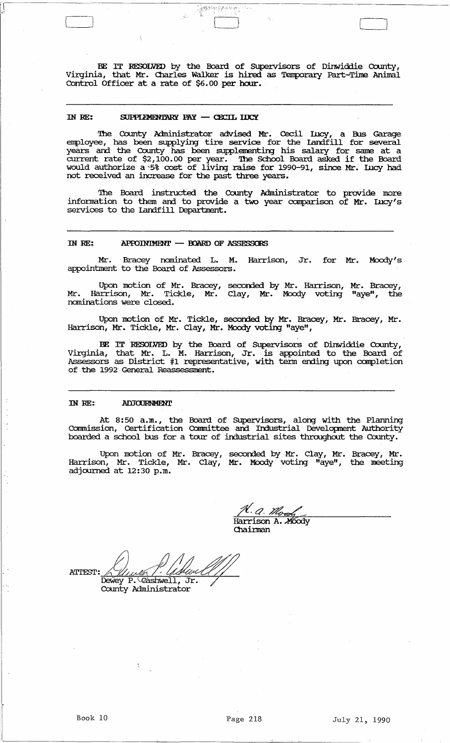BE IT RESOLVED by the Board of Supervisors of Dinwiddie County, Virginia, that Mr. Charles Walker is hired as Temporary Part-Time Animal Control Officer at a rate of \$6.00 per hour.

 $\begin{bmatrix} 1 & 1 \\ 1 & 1 \end{bmatrix}$ 

 $^{\circ}$  : i"

## IN RE: SUPPLEMENTARY PAY - CECIL IDCY

 $\frac{1}{2}$ 

'.1

'!he County Administrator advised Mr. Cecil Incy, a Bus Garage employee, has been supplying tire service for the Landfill for several years and the County has been supplementing his salary for same at a current rate of \$2,100.00 per year. '!he School Board asked if the Board would authorize a '5% cost of livirg raise for 1990-91, since Mr. Lucy had not received an increase for the past three years.

The Board instructed the County Administrator to provide more information to them and to provide a two year comparison of Mr. Lucy's services to the Landfill Department.

## IN RE: APPOINIMENI' - BOARD OF ASSESSCES

Mr. Bracey nominated L. M. Harrison, Jr. for Mr. Moody's appointment to the Board of Assessors.

Upon motion of Mr. Bracey, seconded by Mr. Harrison, Mr. Bracey,<br>arrison, Mr. Tickle, Mr. Clay, Mr. Moody voting "aye", the Mr. Harrison, Mr. Tickle, Mr. Clay, Mr. Moody voting "aye", nominations were closed.

Upon motion of Mr. Tickle, seconded by Mr. Bracey, Mr. Bracey, Mr. Harrison, Mr. Tickle, Mr. Clay, Mr. Moody voting "aye",

BE IT RESOLVED by the Board of Supervisors of Dinwiddie County, Virginia, that Mr. L. M. Harrison, Jr. is appointed to the Board of Assessors as District #1 representative, with term ending upon completion of the 1992 General Reassessment.

## IN RE: **ADJOURNMENT**

At 8:50 a.m., the Board of Supervisors, along with the Planning Commission, Certification Committee and Industrial Development Authority boarded a school bus for a tour of industrial sites throughout the County.

Upon motion of Mr. Bracey, seconded by Mr. Clay, Mr. Bracey, Mr. Harrison, Mr. Tickle, Mr. Clay, Mr. Moody voting "aye", the meeting<br>adjourned at 12:30 p.m.

<u>N. A. Mood</u> Harrison A. Moody Chairman

ATTEST: ALINE P. ANCE County Administrator